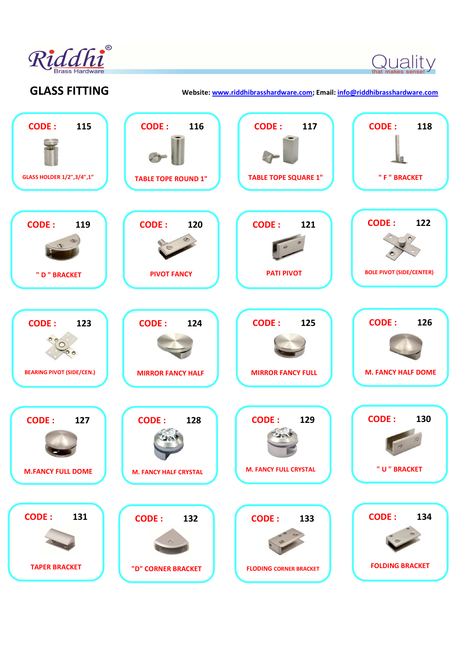

Quality

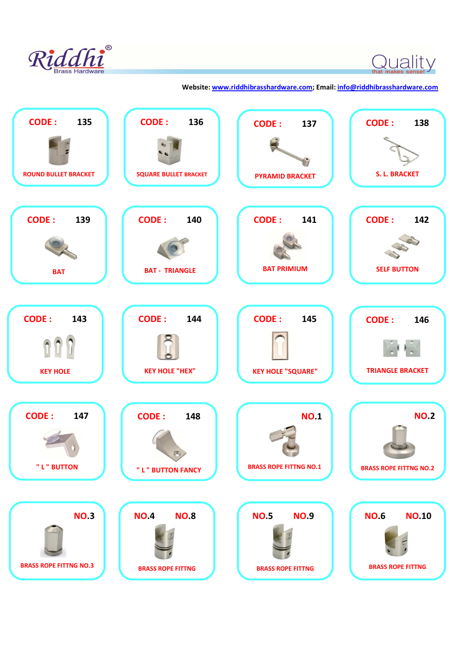

 $\bigcirc$  that makes sense!  $\bigvee$ 

## **Website: www.riddhibrasshardware.com; Email: info@riddhibrasshardware.com**

| <b>CODE:</b>                                 | <b>CODE:</b>                                           | <b>CODE:</b>                                           | <b>CODE:</b>                                            |
|----------------------------------------------|--------------------------------------------------------|--------------------------------------------------------|---------------------------------------------------------|
| 135                                          | 136                                                    | 137                                                    | 138                                                     |
| <b>ROUND BULLET BRACKET</b>                  | <b>SQUARE BULLET BRACKET</b>                           | <b>PYRAMID BRACKET</b>                                 | <b>S. L. BRACKET</b>                                    |
| <b>CODE:</b>                                 | <b>CODE:</b>                                           | <b>CODE:</b>                                           | <b>CODE:</b>                                            |
| 139                                          | 140                                                    | 141                                                    | 142                                                     |
| <b>BAT</b>                                   | <b>BAT - TRIANGLE</b>                                  | <b>BAT PRIMIUM</b>                                     | <b>SELF BUTTON</b>                                      |
| <b>CODE:</b>                                 | <b>CODE:</b>                                           | <b>CODE:</b>                                           | <b>CODE:</b>                                            |
| 143                                          | 144                                                    | 145                                                    | 146                                                     |
| <b>KEY HOLE</b>                              | <b>KEY HOLE "HEX"</b>                                  | <b>KEY HOLE "SQUARE"</b>                               | <b>TRIANGLE BRACKET</b>                                 |
| <b>CODE:</b><br>147<br>" L " BUTTON          | <b>CODE:</b><br>148<br>" L " BUTTON FANCY              | <b>NO.1</b><br><b>BRASS ROPE FITTNG NO.1</b>           | <b>NO.2</b><br><b>BRASS ROPE FITTNG NO.2</b>            |
| <b>NO.3</b><br><b>BRASS ROPE FITTNG NO.3</b> | <b>NO.8</b><br><b>NO.4</b><br><b>BRASS ROPE FITTNG</b> | <b>NO.5</b><br><b>NO.9</b><br><b>BRASS ROPE FITTNG</b> | <b>NO.6</b><br><b>NO.10</b><br><b>BRASS ROPE FITTNG</b> |